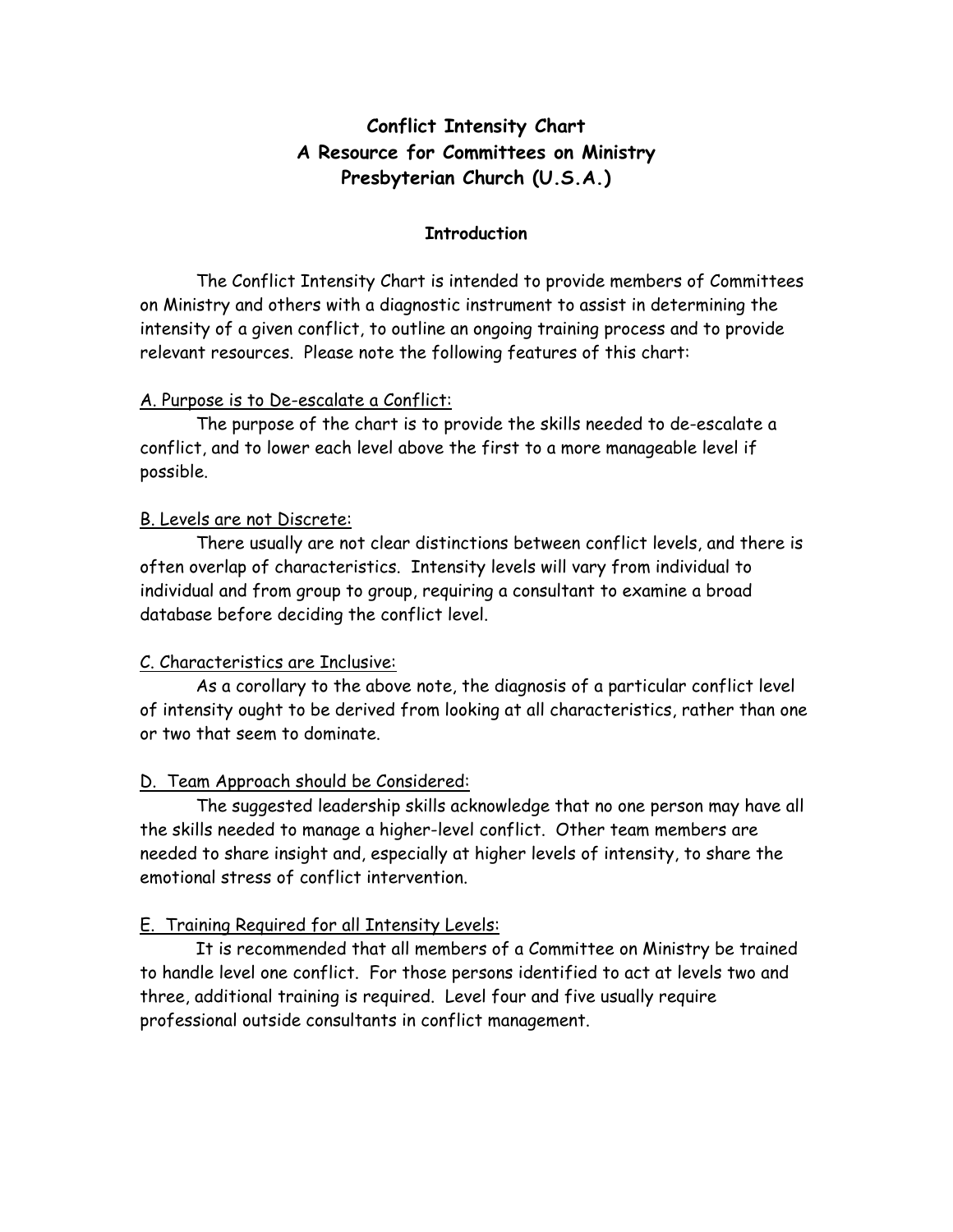# **Conflict Intensity Chart A Resource for Committees on Ministry Presbyterian Church (U.S.A.)**

### **Introduction**

The Conflict Intensity Chart is intended to provide members of Committees on Ministry and others with a diagnostic instrument to assist in determining the intensity of a given conflict, to outline an ongoing training process and to provide relevant resources. Please note the following features of this chart:

### A. Purpose is to De-escalate a Conflict:

The purpose of the chart is to provide the skills needed to de-escalate a conflict, and to lower each level above the first to a more manageable level if possible.

### B. Levels are not Discrete:

 There usually are not clear distinctions between conflict levels, and there is often overlap of characteristics. Intensity levels will vary from individual to individual and from group to group, requiring a consultant to examine a broad database before deciding the conflict level.

### C. Characteristics are Inclusive:

 As a corollary to the above note, the diagnosis of a particular conflict level of intensity ought to be derived from looking at all characteristics, rather than one or two that seem to dominate.

### D. Team Approach should be Considered:

 The suggested leadership skills acknowledge that no one person may have all the skills needed to manage a higher-level conflict. Other team members are needed to share insight and, especially at higher levels of intensity, to share the emotional stress of conflict intervention.

### E. Training Required for all Intensity Levels:

 It is recommended that all members of a Committee on Ministry be trained to handle level one conflict. For those persons identified to act at levels two and three, additional training is required. Level four and five usually require professional outside consultants in conflict management.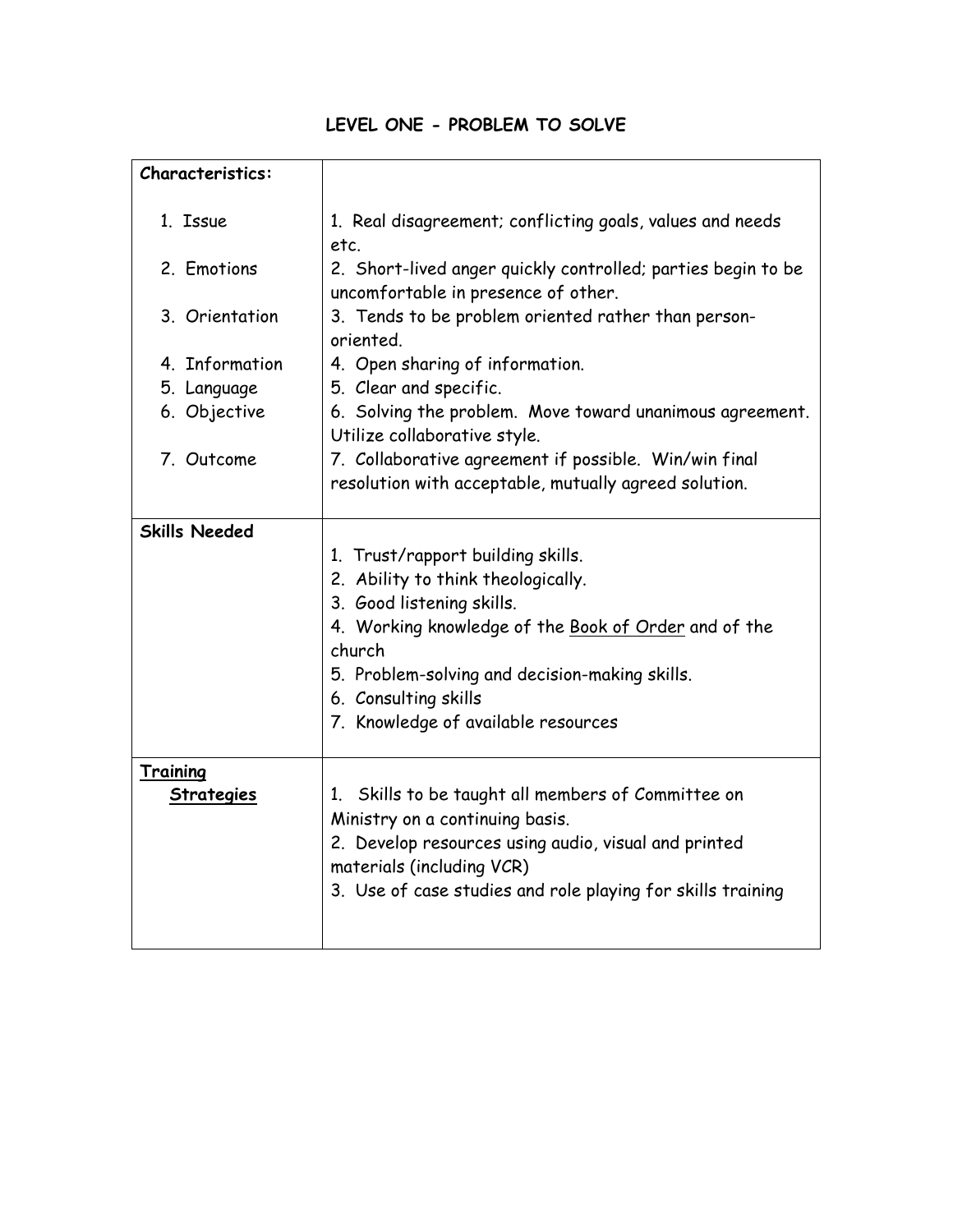| <b>Characteristics:</b>          |                                                                                                                                                                                                                                                                                                                                                                                                       |
|----------------------------------|-------------------------------------------------------------------------------------------------------------------------------------------------------------------------------------------------------------------------------------------------------------------------------------------------------------------------------------------------------------------------------------------------------|
|                                  |                                                                                                                                                                                                                                                                                                                                                                                                       |
| 1. Issue                         | 1. Real disagreement; conflicting goals, values and needs                                                                                                                                                                                                                                                                                                                                             |
| 2. Emotions                      | etc.                                                                                                                                                                                                                                                                                                                                                                                                  |
|                                  | 2. Short-lived anger quickly controlled; parties begin to be<br>uncomfortable in presence of other.                                                                                                                                                                                                                                                                                                   |
| 3. Orientation                   | 3. Tends to be problem oriented rather than person-                                                                                                                                                                                                                                                                                                                                                   |
|                                  | oriented.                                                                                                                                                                                                                                                                                                                                                                                             |
| 4. Information                   | 4. Open sharing of information.                                                                                                                                                                                                                                                                                                                                                                       |
| 5. Language                      | 5. Clear and specific.                                                                                                                                                                                                                                                                                                                                                                                |
| 6. Objective                     | 6. Solving the problem. Move toward unanimous agreement.                                                                                                                                                                                                                                                                                                                                              |
|                                  | Utilize collaborative style.                                                                                                                                                                                                                                                                                                                                                                          |
| 7. Outcome                       | 7. Collaborative agreement if possible. Win/win final                                                                                                                                                                                                                                                                                                                                                 |
|                                  |                                                                                                                                                                                                                                                                                                                                                                                                       |
|                                  |                                                                                                                                                                                                                                                                                                                                                                                                       |
|                                  |                                                                                                                                                                                                                                                                                                                                                                                                       |
|                                  |                                                                                                                                                                                                                                                                                                                                                                                                       |
|                                  | 3. Good listening skills.                                                                                                                                                                                                                                                                                                                                                                             |
|                                  | 4. Working knowledge of the Book of Order and of the                                                                                                                                                                                                                                                                                                                                                  |
|                                  | church                                                                                                                                                                                                                                                                                                                                                                                                |
|                                  |                                                                                                                                                                                                                                                                                                                                                                                                       |
|                                  |                                                                                                                                                                                                                                                                                                                                                                                                       |
|                                  |                                                                                                                                                                                                                                                                                                                                                                                                       |
|                                  |                                                                                                                                                                                                                                                                                                                                                                                                       |
| <b>Strategies</b>                | 1. Skills to be taught all members of Committee on                                                                                                                                                                                                                                                                                                                                                    |
|                                  | Ministry on a continuing basis.                                                                                                                                                                                                                                                                                                                                                                       |
|                                  |                                                                                                                                                                                                                                                                                                                                                                                                       |
|                                  |                                                                                                                                                                                                                                                                                                                                                                                                       |
|                                  |                                                                                                                                                                                                                                                                                                                                                                                                       |
|                                  |                                                                                                                                                                                                                                                                                                                                                                                                       |
| <b>Skills Needed</b><br>Training | resolution with acceptable, mutually agreed solution.<br>1. Trust/rapport building skills.<br>2. Ability to think theologically.<br>5. Problem-solving and decision-making skills.<br>6. Consulting skills<br>7. Knowledge of available resources<br>2. Develop resources using audio, visual and printed<br>materials (including VCR)<br>3. Use of case studies and role playing for skills training |

## **LEVEL ONE - PROBLEM TO SOLVE**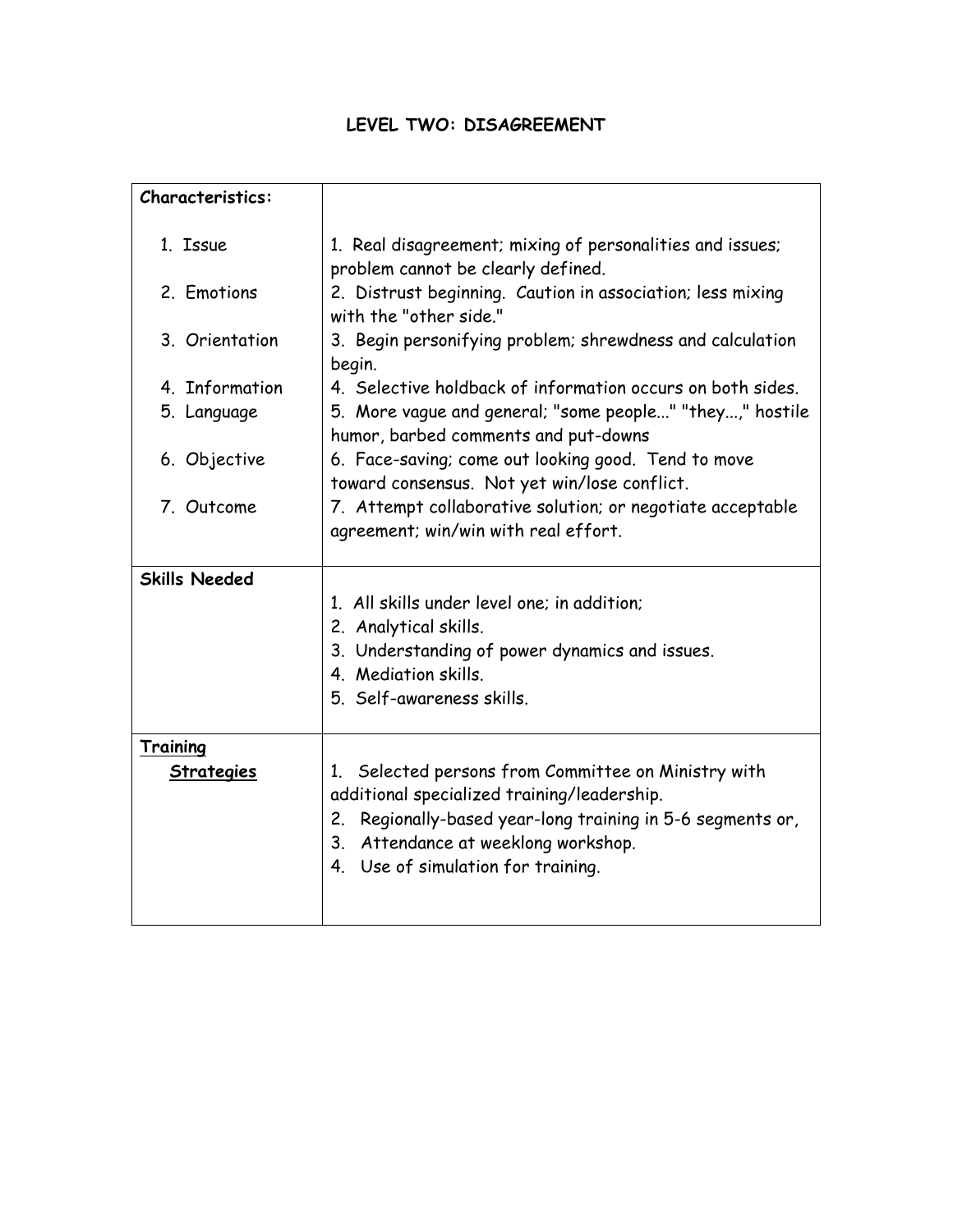# **LEVEL TWO: DISAGREEMENT**

| <b>Characteristics:</b> |                                                                                                     |
|-------------------------|-----------------------------------------------------------------------------------------------------|
| 1. Issue                | 1. Real disagreement; mixing of personalities and issues;<br>problem cannot be clearly defined.     |
| 2. Emotions             | 2. Distrust beginning. Caution in association; less mixing<br>with the "other side."                |
| 3. Orientation          | 3. Begin personifying problem; shrewdness and calculation<br>begin.                                 |
| 4. Information          | 4. Selective holdback of information occurs on both sides.                                          |
| 5. Language             | 5. More vague and general; "some people" "they," hostile<br>humor, barbed comments and put-downs    |
| 6. Objective            | 6. Face-saving; come out looking good. Tend to move<br>toward consensus. Not yet win/lose conflict. |
| 7. Outcome              | 7. Attempt collaborative solution; or negotiate acceptable<br>agreement; win/win with real effort.  |
| <b>Skills Needed</b>    |                                                                                                     |
|                         | 1. All skills under level one; in addition;                                                         |
|                         | 2. Analytical skills.                                                                               |
|                         | 3. Understanding of power dynamics and issues.                                                      |
|                         | 4. Mediation skills.                                                                                |
|                         | 5. Self-awareness skills.                                                                           |
| Training                |                                                                                                     |
| <b>Strategies</b>       | 1. Selected persons from Committee on Ministry with                                                 |
|                         | additional specialized training/leadership.                                                         |
|                         | 2. Regionally-based year-long training in 5-6 segments or,                                          |
|                         | 3. Attendance at weeklong workshop.                                                                 |
|                         | 4. Use of simulation for training.                                                                  |
|                         |                                                                                                     |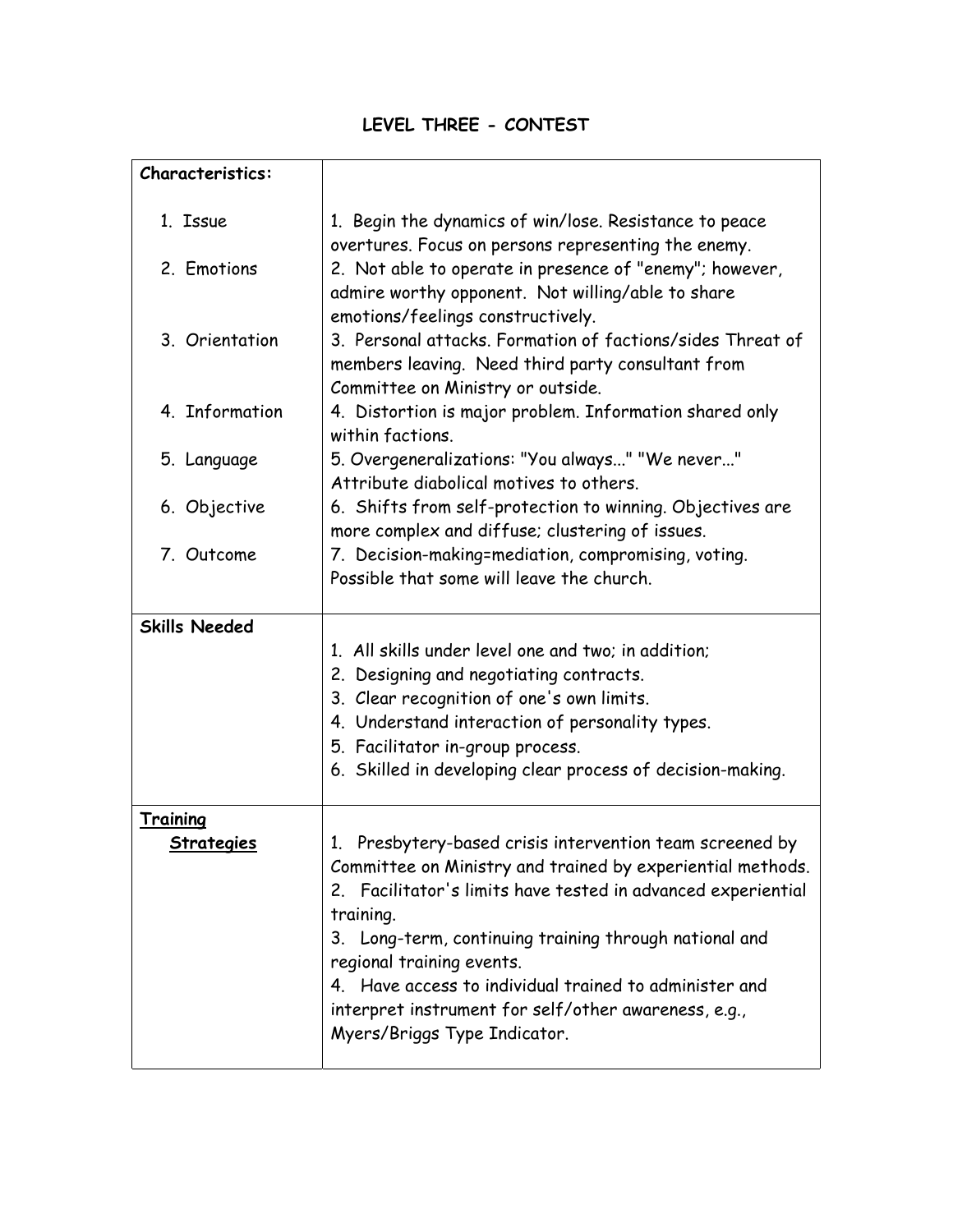# **LEVEL THREE - CONTEST**

| Characteristics:              |                                                                                                                                                                                                                                                                                                                                                                                                                                              |
|-------------------------------|----------------------------------------------------------------------------------------------------------------------------------------------------------------------------------------------------------------------------------------------------------------------------------------------------------------------------------------------------------------------------------------------------------------------------------------------|
| 1. Issue                      | 1. Begin the dynamics of win/lose. Resistance to peace<br>overtures. Focus on persons representing the enemy.                                                                                                                                                                                                                                                                                                                                |
| 2. Emotions                   | 2. Not able to operate in presence of "enemy"; however,<br>admire worthy opponent. Not willing/able to share<br>emotions/feelings constructively.                                                                                                                                                                                                                                                                                            |
| 3. Orientation                | 3. Personal attacks, Formation of factions/sides Threat of<br>members leaving. Need third party consultant from<br>Committee on Ministry or outside.                                                                                                                                                                                                                                                                                         |
| 4. Information                | 4. Distortion is major problem. Information shared only<br>within factions.                                                                                                                                                                                                                                                                                                                                                                  |
| 5. Language                   | 5. Overgeneralizations: "You always" "We never"<br>Attribute diabolical motives to others.                                                                                                                                                                                                                                                                                                                                                   |
| 6. Objective                  | 6. Shifts from self-protection to winning. Objectives are<br>more complex and diffuse; clustering of issues.                                                                                                                                                                                                                                                                                                                                 |
| 7. Outcome                    | 7. Decision-making=mediation, compromising, voting.<br>Possible that some will leave the church.                                                                                                                                                                                                                                                                                                                                             |
| <b>Skills Needed</b>          |                                                                                                                                                                                                                                                                                                                                                                                                                                              |
|                               | 1. All skills under level one and two; in addition;                                                                                                                                                                                                                                                                                                                                                                                          |
|                               | 2. Designing and negotiating contracts.                                                                                                                                                                                                                                                                                                                                                                                                      |
|                               | 3. Clear recognition of one's own limits.                                                                                                                                                                                                                                                                                                                                                                                                    |
|                               | 4. Understand interaction of personality types.                                                                                                                                                                                                                                                                                                                                                                                              |
|                               | 5. Facilitator in-group process.<br>6. Skilled in developing clear process of decision-making.                                                                                                                                                                                                                                                                                                                                               |
|                               |                                                                                                                                                                                                                                                                                                                                                                                                                                              |
| Training<br><u>Strategies</u> | 1. Presbytery-based crisis intervention team screened by<br>Committee on Ministry and trained by experiential methods.<br>2. Facilitator's limits have tested in advanced experiential<br>training.<br>3. Long-term, continuing training through national and<br>regional training events.<br>4. Have access to individual trained to administer and<br>interpret instrument for self/other awareness, e.g.,<br>Myers/Briggs Type Indicator. |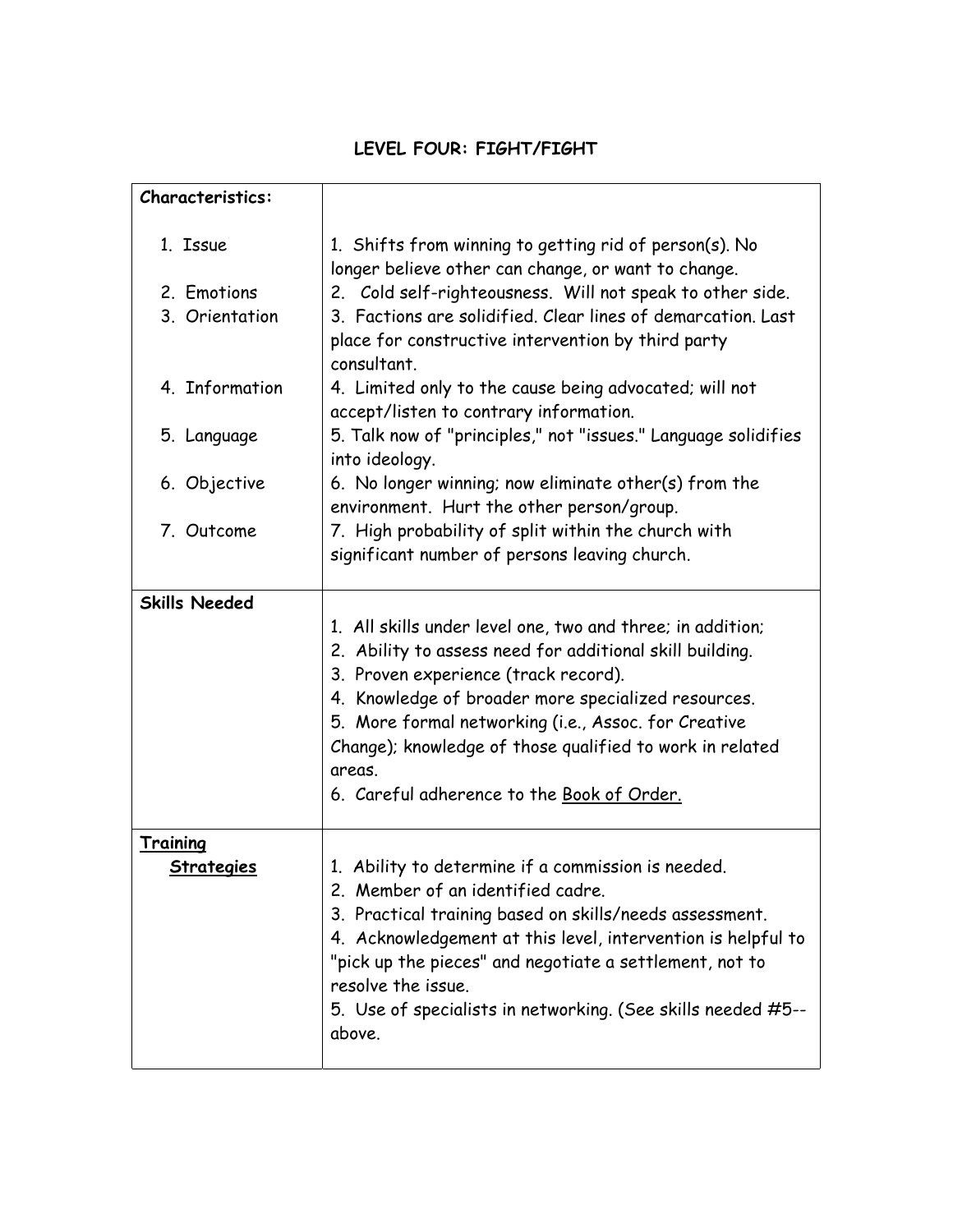## **LEVEL FOUR: FIGHT/FIGHT**

| <b>Characteristics:</b> |                                                                                                                                   |
|-------------------------|-----------------------------------------------------------------------------------------------------------------------------------|
| 1. Issue                | 1. Shifts from winning to getting rid of person(s). No<br>longer believe other can change, or want to change.                     |
| 2. Emotions             | 2. Cold self-righteousness. Will not speak to other side.                                                                         |
| 3. Orientation          | 3. Factions are solidified. Clear lines of demarcation. Last<br>place for constructive intervention by third party<br>consultant. |
| 4. Information          | 4. Limited only to the cause being advocated; will not<br>accept/listen to contrary information.                                  |
| 5. Language             | 5. Talk now of "principles," not "issues." Language solidifies<br>into ideology.                                                  |
| 6. Objective            | 6. No longer winning; now eliminate other(s) from the<br>environment. Hurt the other person/group.                                |
| 7. Outcome              | 7. High probability of split within the church with<br>significant number of persons leaving church.                              |
| <b>Skills Needed</b>    |                                                                                                                                   |
|                         | 1. All skills under level one, two and three; in addition;                                                                        |
|                         | 2. Ability to assess need for additional skill building.                                                                          |
|                         | 3. Proven experience (track record).                                                                                              |
|                         | 4. Knowledge of broader more specialized resources.                                                                               |
|                         | 5. More formal networking (i.e., Assoc. for Creative                                                                              |
|                         | Change); knowledge of those qualified to work in related<br>areas.                                                                |
|                         | 6. Careful adherence to the Book of Order.                                                                                        |
| Training                |                                                                                                                                   |
| <u>Strategies</u>       | 1. Ability to determine if a commission is needed.                                                                                |
|                         | 2. Member of an identified cadre.                                                                                                 |
|                         | 3. Practical training based on skills/needs assessment.                                                                           |
|                         | 4. Acknowledgement at this level, intervention is helpful to                                                                      |
|                         | "pick up the pieces" and negotiate a settlement, not to                                                                           |
|                         | resolve the issue.                                                                                                                |
|                         | 5. Use of specialists in networking. (See skills needed #5--<br>above.                                                            |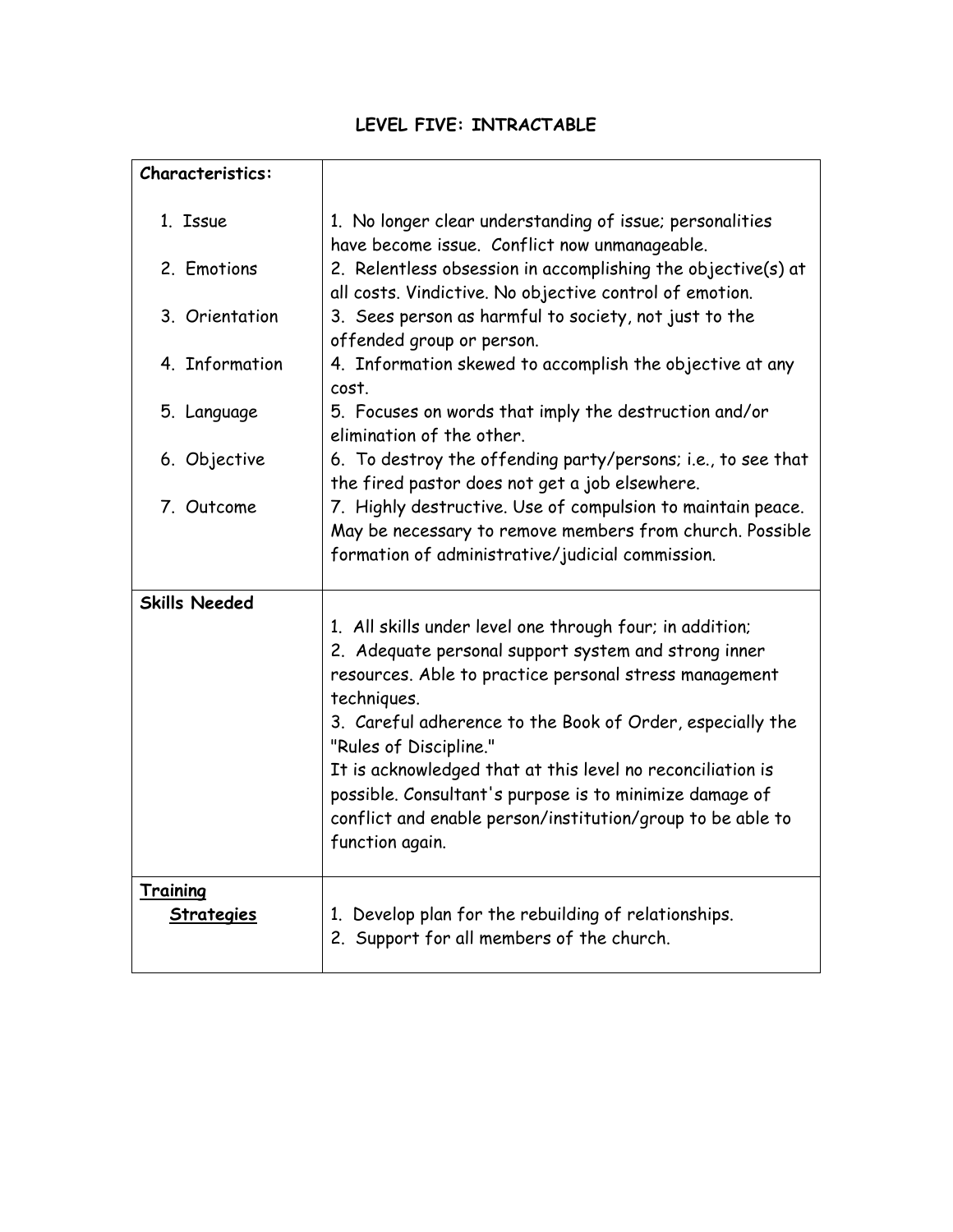## **LEVEL FIVE: INTRACTABLE**

| <b>Characteristics:</b>       |                                                                                                                                                                             |
|-------------------------------|-----------------------------------------------------------------------------------------------------------------------------------------------------------------------------|
| 1. Issue                      | 1. No longer clear understanding of issue; personalities<br>have become issue. Conflict now unmanageable.                                                                   |
| 2. Emotions                   | 2. Relentless obsession in accomplishing the objective(s) at<br>all costs. Vindictive. No objective control of emotion.                                                     |
| 3. Orientation                | 3. Sees person as harmful to society, not just to the<br>offended group or person.                                                                                          |
| 4. Information                | 4. Information skewed to accomplish the objective at any<br>cost.                                                                                                           |
| 5. Language                   | 5. Focuses on words that imply the destruction and/or<br>elimination of the other.                                                                                          |
| 6. Objective                  | 6. To destroy the offending party/persons; i.e., to see that<br>the fired pastor does not get a job elsewhere.                                                              |
| 7. Outcome                    | 7. Highly destructive. Use of compulsion to maintain peace.<br>May be necessary to remove members from church. Possible<br>formation of administrative/judicial commission. |
| <b>Skills Needed</b>          |                                                                                                                                                                             |
|                               | 1. All skills under level one through four; in addition;                                                                                                                    |
|                               | 2. Adequate personal support system and strong inner                                                                                                                        |
|                               | resources. Able to practice personal stress management<br>techniques.                                                                                                       |
|                               | 3. Careful adherence to the Book of Order, especially the<br>"Rules of Discipline."                                                                                         |
|                               | It is acknowledged that at this level no reconciliation is                                                                                                                  |
|                               | possible. Consultant's purpose is to minimize damage of                                                                                                                     |
|                               | conflict and enable person/institution/group to be able to<br>function again.                                                                                               |
| Training<br><b>Strategies</b> | 1. Develop plan for the rebuilding of relationships.<br>2. Support for all members of the church.                                                                           |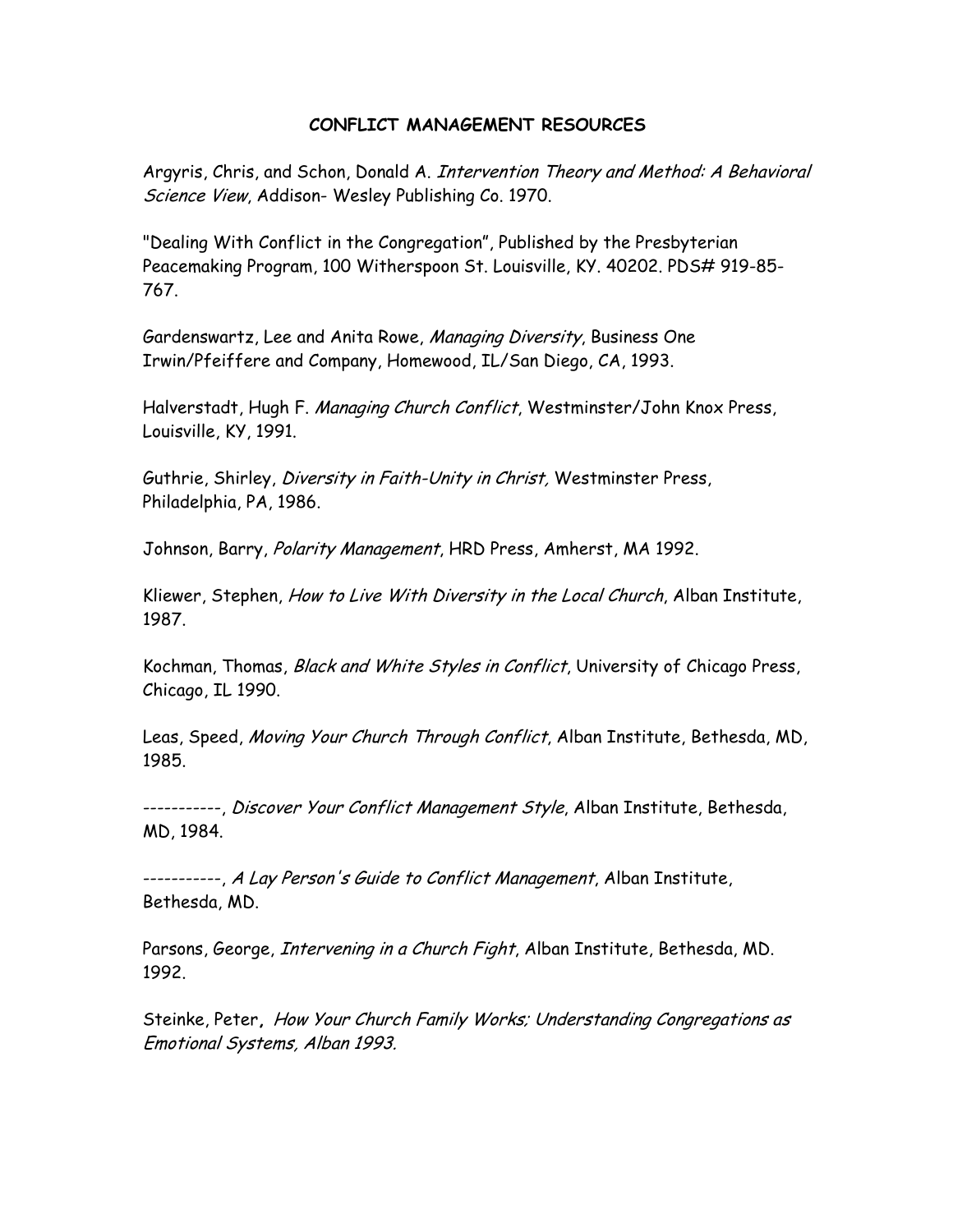### **CONFLICT MANAGEMENT RESOURCES**

Argyris, Chris, and Schon, Donald A. Intervention Theory and Method: A Behavioral Science View, Addison- Wesley Publishing Co. 1970.

"Dealing With Conflict in the Congregation", Published by the Presbyterian Peacemaking Program, 100 Witherspoon St. Louisville, KY. 40202. PDS# 919-85-767.

Gardenswartz, Lee and Anita Rowe, Managing Diversity, Business One Irwin/Pfeiffere and Company, Homewood, IL/San Diego, CA, 1993.

Halverstadt, Hugh F. Managing Church Conflict, Westminster/John Knox Press, Louisville, KY, 1991.

Guthrie, Shirley, Diversity in Faith-Unity in Christ, Westminster Press, Philadelphia, PA, 1986.

Johnson, Barry, Polarity Management, HRD Press, Amherst, MA 1992.

Kliewer, Stephen, How to Live With Diversity in the Local Church, Alban Institute, 1987.

Kochman, Thomas, Black and White Styles in Conflict, University of Chicago Press, Chicago, IL 1990.

Leas, Speed, Moving Your Church Through Conflict, Alban Institute, Bethesda, MD, 1985.

----------, Discover Your Conflict Management Style, Alban Institute, Bethesda, MD, 1984.

-----------, A Lay Person's Guide to Conflict Management, Alban Institute, Bethesda, MD.

Parsons, George, Intervening in a Church Fight, Alban Institute, Bethesda, MD. 1992.

Steinke, Peter**,** How Your Church Family Works; Understanding Congregations as Emotional Systems, Alban 1993.